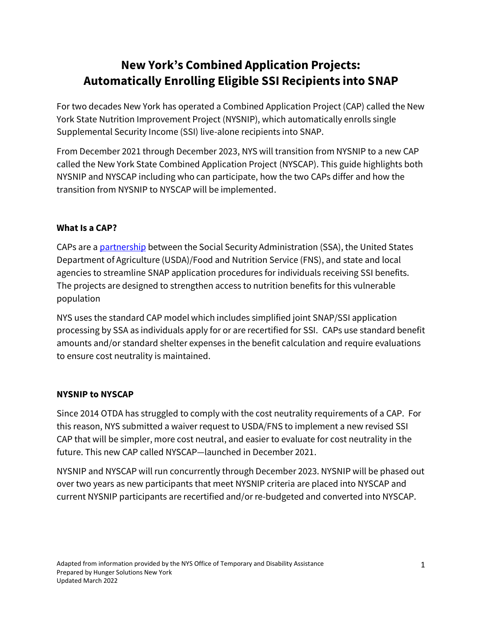# **New York's Combined Application Projects: Automatically Enrolling Eligible SSI Recipients into SNAP**

For two decades New York has operated a Combined Application Project (CAP) called the New York State Nutrition Improvement Project (NYSNIP), which automatically enrolls single Supplemental Security Income (SSI) live-alone recipients into SNAP.

From December 2021 through December 2023, NYS will transition from NYSNIP to a new CAP called the New York State Combined Application Project (NYSCAP). This guide highlights both NYSNIP and NYSCAP including who can participate, how the two CAPs differ and how the transition from NYSNIP to NYSCAP will be implemented.

#### **What Is a CAP?**

CAPs are [a partnership](https://fns-prod.azureedge.net/sites/default/files/snap/14-State-Options.pdf) between the Social Security Administration (SSA), the United States Department of Agriculture (USDA)/Food and Nutrition Service (FNS), and state and local agencies to streamline SNAP application procedures for individuals receiving SSI benefits. The projects are designed to strengthen access to nutrition benefits for this vulnerable population

NYS uses the standard CAP model which includes simplified joint SNAP/SSI application processing by SSA as individuals apply for or are recertified for SSI. CAPs use standard benefit amounts and/or standard shelter expenses in the benefit calculation and require evaluations to ensure cost neutrality is maintained.

#### **NYSNIP to NYSCAP**

Since 2014 OTDA has struggled to comply with the cost neutrality requirements of a CAP. For this reason, NYS submitted a waiver request to USDA/FNS to implement a new revised SSI CAP that will be simpler, more cost neutral, and easier to evaluate for cost neutrality in the future. This new CAP called NYSCAP—launched in December 2021.

NYSNIP and NYSCAP will run concurrently through December 2023. NYSNIP will be phased out over two years as new participants that meet NYSNIP criteria are placed into NYSCAP and current NYSNIP participants are recertified and/or re-budgeted and converted into NYSCAP.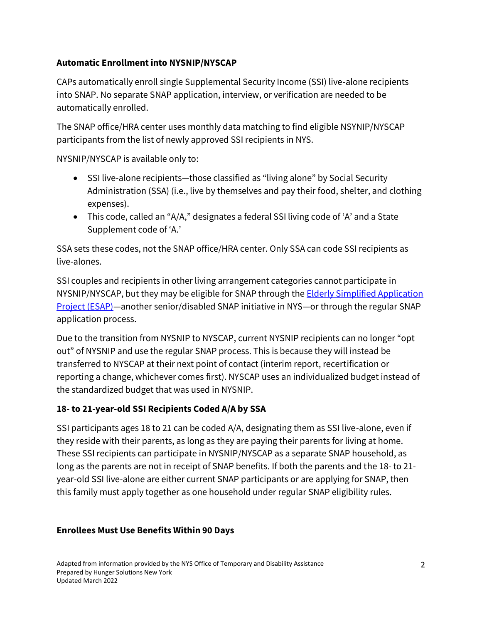## **Automatic Enrollment into NYSNIP/NYSCAP**

CAPs automatically enroll single Supplemental Security Income (SSI) live-alone recipients into SNAP. No separate SNAP application, interview, or verification are needed to be automatically enrolled.

The SNAP office/HRA center uses monthly data matching to find eligible NSYNIP/NYSCAP participants from the list of newly approved SSI recipients in NYS.

NYSNIP/NYSCAP is available only to:

- SSI live-alone recipients—those classified as "living alone" by Social Security Administration (SSA) (i.e., live by themselves and pay their food, shelter, and clothing expenses).
- This code, called an "A/A," designates a federal SSI living code of 'A' and a State Supplement code of 'A.'

SSA sets these codes, not the SNAP office/HRA center. Only SSA can code SSI recipients as live-alones.

SSI couples and recipients in other living arrangement categories cannot participate in NYSNIP/NYSCAP, but they may be eligible for SNAP through the **Elderly Simplified Application** [Project](https://hungersolutionsny.org/federal-nutrition-programs/snap/snap-and-seniors/esap/) (ESAP)—another senior/disabled SNAP initiative in NYS—or through the regular SNAP application process.

Due to the transition from NYSNIP to NYSCAP, current NYSNIP recipients can no longer "opt out" of NYSNIP and use the regular SNAP process. This is because they will instead be transferred to NYSCAP at their next point of contact (interim report, recertification or reporting a change, whichever comes first). NYSCAP uses an individualized budget instead of the standardized budget that was used in NYSNIP.

## **18- to 21-year-old SSI Recipients Coded A/A by SSA**

SSI participants ages 18 to 21 can be coded A/A, designating them as SSI live-alone, even if they reside with their parents, as long as they are paying their parents for living at home. These SSI recipients can participate in NYSNIP/NYSCAP as a separate SNAP household, as long as the parents are not in receipt of SNAP benefits. If both the parents and the 18- to 21 year-old SSI live-alone are either current SNAP participants or are applying for SNAP, then this family must apply together as one household under regular SNAP eligibility rules.

#### **Enrollees Must Use Benefits Within 90 Days**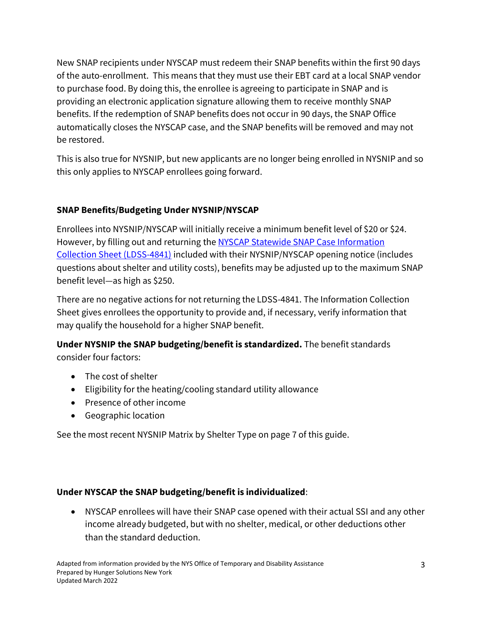New SNAP recipients under NYSCAP must redeem their SNAP benefits within the first 90 days of the auto-enrollment. This means that they must use their EBT card at a local SNAP vendor to purchase food. By doing this, the enrollee is agreeing to participate in SNAP and is providing an electronic application signature allowing them to receive monthly SNAP benefits. If the redemption of SNAP benefits does not occur in 90 days, the SNAP Office automatically closes the NYSCAP case, and the SNAP benefits will be removed and may not be restored.

This is also true for NYSNIP, but new applicants are no longer being enrolled in NYSNIP and so this only applies to NYSCAP enrollees going forward.

## **SNAP Benefits/Budgeting Under NYSNIP/NYSCAP**

Enrollees into NYSNIP/NYSCAP will initially receive a minimum benefit level of \$20 or \$24. However, by filling out and returning the NYSCAP Statewide SNAP Case Information [Collection Sheet](https://hungersolutionsny.org/wp-content/uploads/2020/08/LDSS-4841-SNAP-Case-Information-Collection-Sheet.pdf) (LDSS-4841) included with their NYSNIP/NYSCAP opening notice (includes questions about shelter and utility costs), benefits may be adjusted up to the maximum SNAP benefit level—as high as \$250.

There are no negative actions for not returning the LDSS-4841. The Information Collection Sheet gives enrollees the opportunity to provide and, if necessary, verify information that may qualify the household for a higher SNAP benefit.

**Under NYSNIP the SNAP budgeting/benefit is standardized.** The benefit standards consider four factors:

- The cost of shelter
- Eligibility for the heating/cooling standard utility allowance
- Presence of other income
- Geographic location

See the most recent NYSNIP Matrix by Shelter Type on page 7 of this guide.

#### **Under NYSCAP the SNAP budgeting/benefit is individualized**:

• NYSCAP enrollees will have their SNAP case opened with their actual SSI and any other income already budgeted, but with no shelter, medical, or other deductions other than the standard deduction.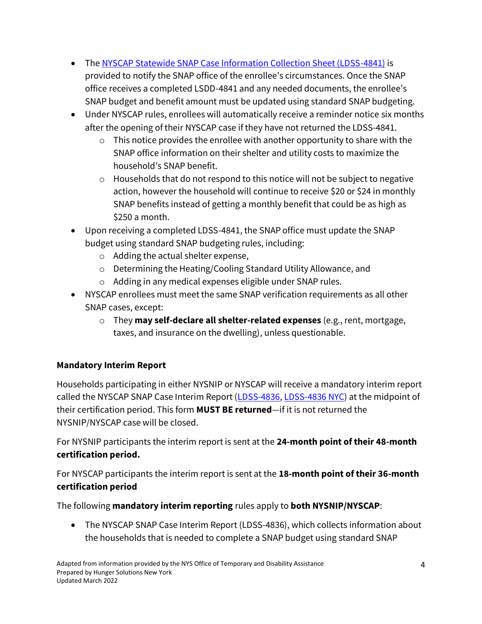- Th[e NYSCAP Statewide SNAP Case Information Collection Sheet \(LDSS-4841\)](https://hungersolutionsny.org/wp-content/uploads/2020/08/LDSS-4841-SNAP-Case-Information-Collection-Sheet.pdf) is provided to notify the SNAP office of the enrollee's circumstances. Once the SNAP office receives a completed LSDD-4841 and any needed documents, the enrollee's SNAP budget and benefit amount must be updated using standard SNAP budgeting.
- Under NYSCAP rules, enrollees will automatically receive a reminder notice six months after the opening of their NYSCAP case if they have not returned the LDSS-4841.
	- $\circ$  This notice provides the enrollee with another opportunity to share with the SNAP office information on their shelter and utility costs to maximize the household's SNAP benefit.
	- $\circ$  Households that do not respond to this notice will not be subject to negative action, however the household will continue to receive \$20 or \$24 in monthly SNAP benefits instead of getting a monthly benefit that could be as high as \$250 a month.
- Upon receiving a completed LDSS-4841, the SNAP office must update the SNAP budget using standard SNAP budgeting rules, including:
	- o Adding the actual shelter expense,
	- o Determining the Heating/Cooling Standard Utility Allowance, and
	- o Adding in any medical expenses eligible under SNAP rules.
- NYSCAP enrollees must meet the same SNAP verification requirements as all other SNAP cases, except:
	- o They **may self-declare all shelter-related expenses** (e.g., rent, mortgage, taxes, and insurance on the dwelling), unless questionable.

## **Mandatory Interim Report**

Households participating in either NYSNIP or NYSCAP will receive a mandatory interim report called the NYSCAP SNAP Case Interim Report [\(LDSS-4836,](https://hungersolutionsny.org/wp-content/uploads/2020/08/LDSS-4836-NYSCAP-SNAP-Benefits-Interim-Report.pdf) [LDSS-4836 NYC\)](https://hungersolutionsny.org/wp-content/uploads/2020/08/LDSS-4836-NYSCAP-SNAP-Benefits-Interim-Report-NYC.pdf) at the midpoint of their certification period. This form **MUST BE returned**—if it is not returned the NYSNIP/NYSCAP case will be closed.

For NYSNIP participants the interim report is sent at the **24-month point of their 48-month certification period.**

For NYSCAP participants the interim report is sent at the **18-month point of their 36-month certification period**

The following **mandatory interim reporting** rules apply to **both NYSNIP/NYSCAP**:

• The NYSCAP SNAP Case Interim Report (LDSS-4836), which collects information about the households that is needed to complete a SNAP budget using standard SNAP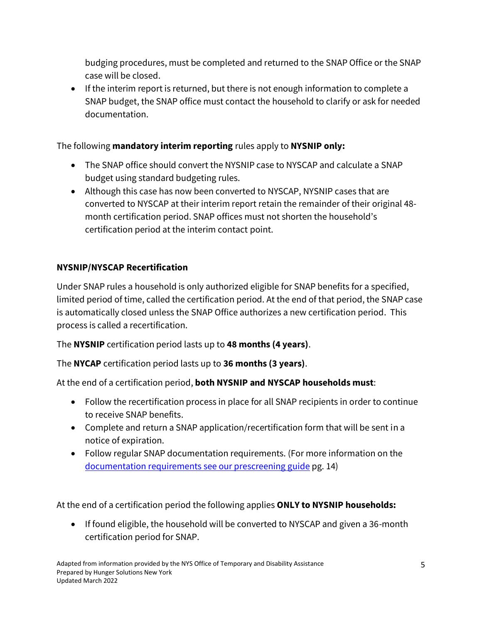budging procedures, must be completed and returned to the SNAP Office or the SNAP case will be closed.

• If the interim report is returned, but there is not enough information to complete a SNAP budget, the SNAP office must contact the household to clarify or ask for needed documentation.

## The following **mandatory interim reporting** rules apply to **NYSNIP only:**

- The SNAP office should convert the NYSNIP case to NYSCAP and calculate a SNAP budget using standard budgeting rules.
- Although this case has now been converted to NYSCAP, NYSNIP cases that are converted to NYSCAP at their interim report retain the remainder of their original 48 month certification period. SNAP offices must not shorten the household's certification period at the interim contact point.

## **NYSNIP/NYSCAP Recertification**

Under SNAP rules a household is only authorized eligible for SNAP benefits for a specified, limited period of time, called the certification period. At the end of that period, the SNAP case is automatically closed unless the SNAP Office authorizes a new certification period. This process is called a recertification.

The **NYSNIP** certification period lasts up to **48 months (4 years)**.

The **NYCAP** certification period lasts up to **36 months (3 years)**.

At the end of a certification period, **both NYSNIP and NYSCAP households must**:

- Follow the recertification process in place for all SNAP recipients in order to continue to receive SNAP benefits.
- Complete and return a SNAP application/recertification form that will be sent in a notice of expiration.
- Follow regular SNAP documentation requirements. (For more information on the [documentation requirements see our prescreening guide](https://hungersolutionsny.org/wp-content/uploads/2021/12/Applying-for-SNAP-12_17_21.pdf) pg. 14)

At the end of a certification period the following applies **ONLY to NYSNIP households:**

• If found eligible, the household will be converted to NYSCAP and given a 36-month certification period for SNAP.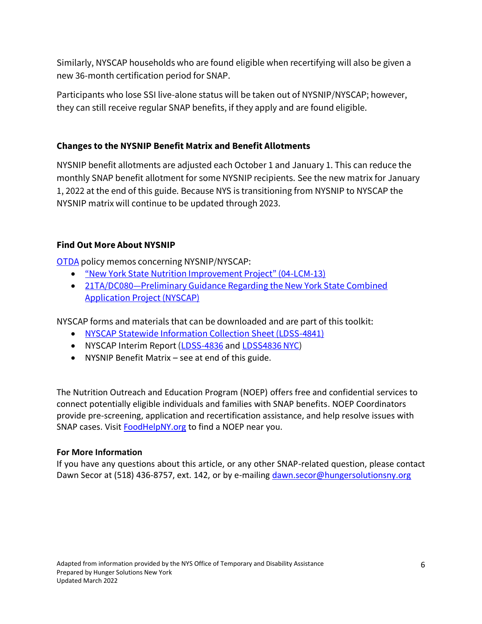Similarly, NYSCAP households who are found eligible when recertifying will also be given a new 36-month certification period for SNAP.

Participants who lose SSI live-alone status will be taken out of NYSNIP/NYSCAP; however, they can still receive regular SNAP benefits, if they apply and are found eligible.

#### **Changes to the NYSNIP Benefit Matrix and Benefit Allotments**

NYSNIP benefit allotments are adjusted each October 1 and January 1. This can reduce the monthly SNAP benefit allotment for some NYSNIP recipients. See the new matrix for January 1, 2022 at the end of this guide. Because NYS is transitioning from NYSNIP to NYSCAP the NYSNIP matrix will continue to be updated through 2023.

## **Find Out More About NYSNIP**

[OTDA](http://otda.ny.gov/) policy memos concerning NYSNIP/NYSCAP:

- ["New York State Nutrition Improvement Project" \(04](http://www.otda.ny.gov/policy/directives/2004/LCM/04_LCM-13.pdf)-LCM-13)
- 21TA/DC080-Preliminary Guidance Regarding the New York State Combined [Application Project \(NYSCAP\)](https://otda.ny.gov/policy/gis/2021/21DC080.pdf)

NYSCAP forms and materials that can be downloaded and are part of this toolkit:

- NYSCAP Statewide [Information Collection Sheet \(LDSS-4841\)](https://hungersolutionsny.org/wp-content/uploads/2020/08/LDSS-4841-SNAP-Case-Information-Collection-Sheet.pdf)
- NYSCAP Interim Report [\(LDSS-4836](https://hungersolutionsny.org/wp-content/uploads/2020/08/LDSS-4836-NYSCAP-SNAP-Benefits-Interim-Report.pdf) an[d LDSS4836](https://hungersolutionsny.org/wp-content/uploads/2020/08/LDSS-4836-NYSCAP-SNAP-Benefits-Interim-Report-NYC.pdf) NYC)
- NYSNIP Benefit Matrix see at end of this guide.

The Nutrition Outreach and Education Program (NOEP) offers free and confidential services to connect potentially eligible individuals and families with SNAP benefits. NOEP Coordinators provide pre-screening, application and recertification assistance, and help resolve issues with SNAP cases. Visit **[FoodHelpNY.org](https://hungersolutionsny.org/find-food-help/)** to find a NOEP near you.

#### **For More Information**

If you have any questions about this article, or any other SNAP-related question, please contact Dawn Secor at (518) 436-8757, ext. 142, or by e-mailin[g dawn.secor@hungersolutionsny.org](mailto:dawn.secor@hungersolutionsny.org)